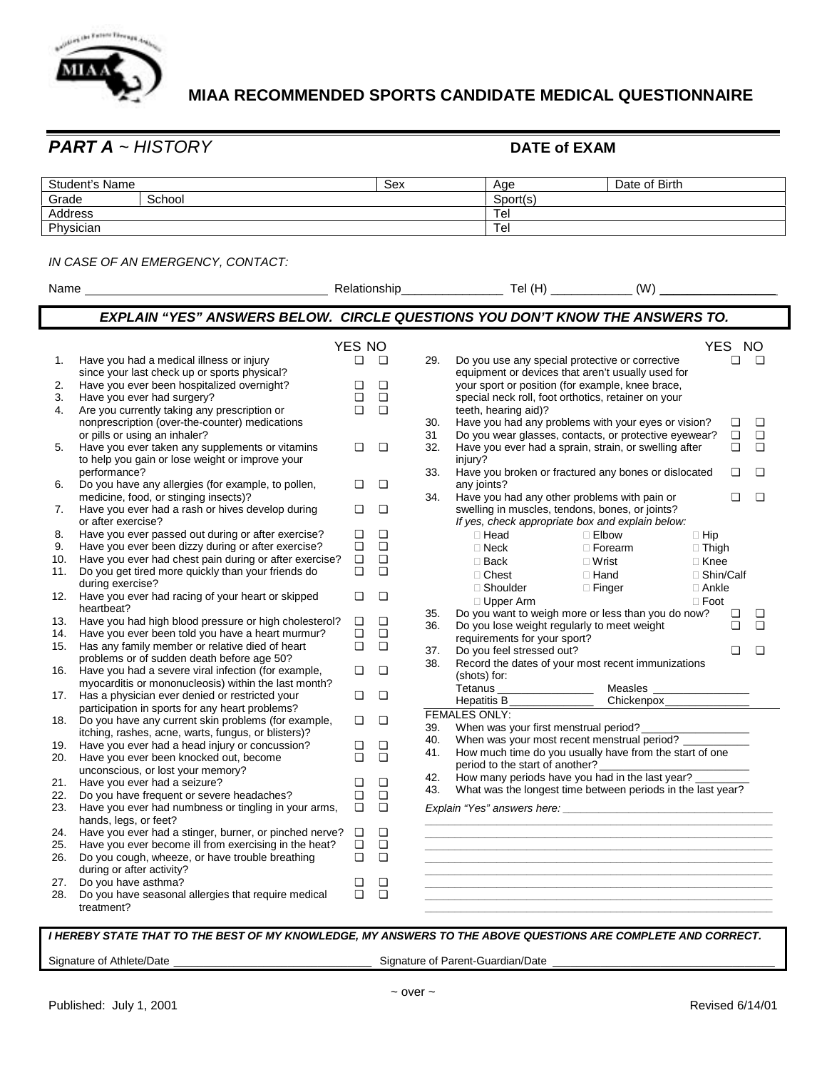

## **MIAA RECOMMENDED SPORTS CANDIDATE MEDICAL QUESTIONNAIRE**

*PART A ~ HISTORY* **DATE of EXAM** 

| Student's Name |        | Sex | Age      | Date of Birth |  |
|----------------|--------|-----|----------|---------------|--|
| Grade          | School |     | Sport(s) |               |  |
| Address        |        |     | Tel      |               |  |
| Physician      |        | Tel |          |               |  |

## *IN CASE OF AN EMERGENCY, CONTACT:*

| Name |                                                                                                   |        |        |           |                                                                                                                                    |
|------|---------------------------------------------------------------------------------------------------|--------|--------|-----------|------------------------------------------------------------------------------------------------------------------------------------|
|      |                                                                                                   |        |        |           | <b>EXPLAIN "YES" ANSWERS BELOW. CIRCLE QUESTIONS YOU DON'T KNOW THE ANSWERS TO.</b>                                                |
|      |                                                                                                   | YES NO |        |           | YES NO                                                                                                                             |
| 1.   | Have you had a medical illness or injury                                                          | $\Box$ | $\Box$ | 29.       | $\Box$<br>Do you use any special protective or corrective<br>o                                                                     |
|      | since your last check up or sports physical?                                                      |        |        |           | equipment or devices that aren't usually used for                                                                                  |
| 2.   | Have you ever been hospitalized overnight?                                                        | $\Box$ | О      |           | your sport or position (for example, knee brace,                                                                                   |
| 3.   | Have you ever had surgery?                                                                        | $\Box$ | О      |           | special neck roll, foot orthotics, retainer on your                                                                                |
| 4.   | Are you currently taking any prescription or                                                      | $\Box$ | $\Box$ |           | teeth, hearing aid)?                                                                                                               |
|      | nonprescription (over-the-counter) medications                                                    |        |        | 30.       | Have you had any problems with your eyes or vision?<br>Q<br>$\Box$<br>$\Box$<br>$\Box$                                             |
| 5.   | or pills or using an inhaler?<br>Have you ever taken any supplements or vitamins                  | О      | ◘      | 31<br>32. | Do you wear glasses, contacts, or protective eyewear?<br>Have you ever had a sprain, strain, or swelling after<br>$\Box$<br>$\Box$ |
|      | to help you gain or lose weight or improve your                                                   |        |        |           | injury?                                                                                                                            |
|      | performance?                                                                                      |        |        | 33.       | Have you broken or fractured any bones or dislocated<br>◘<br>▫                                                                     |
| 6.   | Do you have any allergies (for example, to pollen,                                                | ◘      | $\Box$ |           | any joints?                                                                                                                        |
|      | medicine, food, or stinging insects)?                                                             |        |        | 34.       | Have you had any other problems with pain or<br>❏<br>▫                                                                             |
| 7.   | Have you ever had a rash or hives develop during                                                  | ◘      | О      |           | swelling in muscles, tendons, bones, or joints?                                                                                    |
|      | or after exercise?                                                                                |        |        |           | If yes, check appropriate box and explain below:                                                                                   |
| 8.   | Have you ever passed out during or after exercise?                                                | ❏      | О      |           | ! Head<br>! Elbow<br>! Hip                                                                                                         |
| 9.   | Have you ever been dizzy during or after exercise?                                                | Q      | $\Box$ |           | ! Neck<br>! Forearm<br>! Thigh                                                                                                     |
| 10.  | Have you ever had chest pain during or after exercise?                                            | $\Box$ | $\Box$ |           | ! Back<br>! Wrist<br>! Knee                                                                                                        |
| 11.  | Do you get tired more quickly than your friends do                                                | $\Box$ | $\Box$ |           | ! Shin/Calf<br>! Chest<br>! Hand                                                                                                   |
|      | during exercise?                                                                                  |        |        |           | ! Shoulder<br>! Finger<br>! Ankle                                                                                                  |
| 12.  | Have you ever had racing of your heart or skipped                                                 | ❏      | О      |           | ! Upper Arm<br>! Foot                                                                                                              |
|      | heartbeat?                                                                                        |        |        | 35.       | Do you want to weigh more or less than you do now?<br>o<br>$\Box$                                                                  |
| 13.  | Have you had high blood pressure or high cholesterol?                                             | ❏      | ❏      | 36.       | Do you lose weight regularly to meet weight<br>$\Box$<br>$\Box$                                                                    |
| 14.  | Have you ever been told you have a heart murmur?                                                  | ◘      | О      |           | requirements for your sport?                                                                                                       |
| 15.  | Has any family member or relative died of heart                                                   | $\Box$ | $\Box$ | 37.       | Do you feel stressed out?<br>▫<br>▫                                                                                                |
|      | problems or of sudden death before age 50?<br>Have you had a severe viral infection (for example, | ❏      | $\Box$ | 38.       | Record the dates of your most recent immunizations                                                                                 |
| 16.  | myocarditis or mononucleosis) within the last month?                                              |        |        |           | (shots) for:                                                                                                                       |
| 17.  | Has a physician ever denied or restricted your                                                    | О      | О      |           |                                                                                                                                    |
|      | participation in sports for any heart problems?                                                   |        |        |           | Hepatitis B <sub>_______________</sub> _____                                                                                       |
| 18.  | Do you have any current skin problems (for example,                                               | ❏      | $\Box$ |           | <b>FEMALES ONLY:</b>                                                                                                               |
|      | itching, rashes, acne, warts, fungus, or blisters)?                                               |        |        | 39.       | When was your first menstrual period?                                                                                              |
| 19.  | Have you ever had a head injury or concussion?                                                    | ❏      | О      | 40.       | When was your most recent menstrual period?                                                                                        |
| 20.  | Have you ever been knocked out, become                                                            | $\Box$ | $\Box$ | 41.       | How much time do you usually have from the start of one                                                                            |
|      | unconscious, or lost your memory?                                                                 |        |        |           | period to the start of another?                                                                                                    |
| 21.  | Have you ever had a seizure?                                                                      | ❏      | ❏      | 42.       | How many periods have you had in the last year?                                                                                    |
| 22.  | Do you have frequent or severe headaches?                                                         | $\Box$ | $\Box$ | 43.       | What was the longest time between periods in the last year?                                                                        |
| 23.  | Have you ever had numbness or tingling in your arms,<br>hands, legs, or feet?                     | $\Box$ | $\Box$ |           |                                                                                                                                    |
| 24.  | Have you ever had a stinger, burner, or pinched nerve?                                            | ◘      | $\Box$ |           |                                                                                                                                    |
| 25.  | Have you ever become ill from exercising in the heat?                                             | $\Box$ | $\Box$ |           |                                                                                                                                    |
| 26.  | Do you cough, wheeze, or have trouble breathing<br>during or after activity?                      | $\Box$ | $\Box$ |           |                                                                                                                                    |
| 27.  | Do you have asthma?                                                                               | ❏      | ◘      |           |                                                                                                                                    |
| 28.  | Do you have seasonal allergies that require medical                                               | $\Box$ | О      |           |                                                                                                                                    |
|      | treatment?                                                                                        |        |        |           |                                                                                                                                    |
|      |                                                                                                   |        |        |           |                                                                                                                                    |

## *I HEREBY STATE THAT TO THE BEST OF MY KNOWLEDGE, MY ANSWERS TO THE ABOVE QUESTIONS ARE COMPLETE AND CORRECT.*

Signature of Athlete/Date \_\_\_\_\_\_\_\_\_\_\_\_\_\_\_\_\_\_\_\_\_\_\_\_\_\_\_\_\_\_\_\_\_ Signature of Parent-Guardian/Date \_\_\_\_\_\_\_\_\_\_\_\_\_\_\_\_\_\_\_\_\_\_\_\_\_\_\_\_\_\_\_\_\_\_\_\_\_